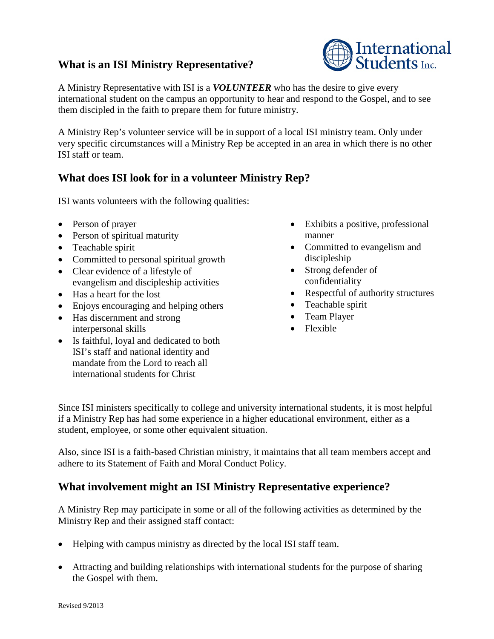## **What is an ISI Ministry Representative?**



A Ministry Rep's volunteer service will be in support of a local ISI ministry team. Only under very specific circumstances will a Ministry Rep be accepted in an area in which there is no other ISI staff or team.

## **What does ISI look for in a volunteer Ministry Rep?**

ISI wants volunteers with the following qualities:

- Person of prayer
- Person of spiritual maturity
- Teachable spirit
- Committed to personal spiritual growth
- Clear evidence of a lifestyle of evangelism and discipleship activities
- Has a heart for the lost
- Enjoys encouraging and helping others
- Has discernment and strong interpersonal skills
- Is faithful, loyal and dedicated to both ISI's staff and national identity and mandate from the Lord to reach all international students for Christ
- Exhibits a positive, professional manner
- Committed to evangelism and discipleship
- Strong defender of confidentiality
- Respectful of authority structures
- Teachable spirit
- Team Player
- Flexible

Since ISI ministers specifically to college and university international students, it is most helpful if a Ministry Rep has had some experience in a higher educational environment, either as a student, employee, or some other equivalent situation.

Also, since ISI is a faith-based Christian ministry, it maintains that all team members accept and adhere to its Statement of Faith and Moral Conduct Policy.

## **What involvement might an ISI Ministry Representative experience?**

A Ministry Rep may participate in some or all of the following activities as determined by the Ministry Rep and their assigned staff contact:

- Helping with campus ministry as directed by the local ISI staff team.
- Attracting and building relationships with international students for the purpose of sharing the Gospel with them.